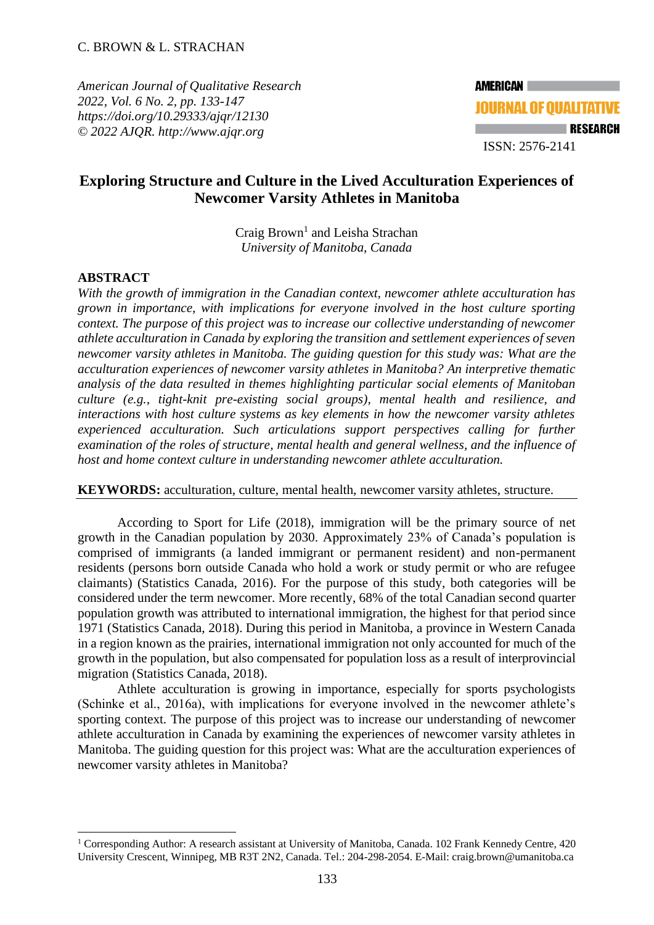*American Journal of Qualitative Research 2022, Vol. 6 No. 2, pp. 133-147 [https://doi.org/10.29333/ajqr/12130](about:blank) © 2022 AJQR. http://www.ajqr.org*

# **Exploring Structure and Culture in the Lived Acculturation Experiences of Newcomer Varsity Athletes in Manitoba**

Craig Brown<sup>1</sup> and Leisha Strachan *University of Manitoba, Canada*

# **ABSTRACT**

*With the growth of immigration in the Canadian context, newcomer athlete acculturation has grown in importance, with implications for everyone involved in the host culture sporting context. The purpose of this project was to increase our collective understanding of newcomer athlete acculturation in Canada by exploring the transition and settlement experiences of seven newcomer varsity athletes in Manitoba. The guiding question for this study was: What are the acculturation experiences of newcomer varsity athletes in Manitoba? An interpretive thematic analysis of the data resulted in themes highlighting particular social elements of Manitoban culture (e.g., tight-knit pre-existing social groups), mental health and resilience, and interactions with host culture systems as key elements in how the newcomer varsity athletes experienced acculturation. Such articulations support perspectives calling for further examination of the roles of structure, mental health and general wellness, and the influence of host and home context culture in understanding newcomer athlete acculturation.*

#### **KEYWORDS:** acculturation, culture, mental health, newcomer varsity athletes, structure.

According to Sport for Life (2018), immigration will be the primary source of net growth in the Canadian population by 2030. Approximately 23% of Canada's population is comprised of immigrants (a landed immigrant or permanent resident) and non-permanent residents (persons born outside Canada who hold a work or study permit or who are refugee claimants) (Statistics Canada, 2016). For the purpose of this study, both categories will be considered under the term newcomer. More recently, 68% of the total Canadian second quarter population growth was attributed to international immigration, the highest for that period since 1971 (Statistics Canada, 2018). During this period in Manitoba, a province in Western Canada in a region known as the prairies, international immigration not only accounted for much of the growth in the population, but also compensated for population loss as a result of interprovincial migration (Statistics Canada, 2018).

Athlete acculturation is growing in importance, especially for sports psychologists (Schinke et al., 2016a), with implications for everyone involved in the newcomer athlete's sporting context. The purpose of this project was to increase our understanding of newcomer athlete acculturation in Canada by examining the experiences of newcomer varsity athletes in Manitoba. The guiding question for this project was: What are the acculturation experiences of newcomer varsity athletes in Manitoba?

<sup>&</sup>lt;sup>1</sup> Corresponding Author: A research assistant at University of Manitoba, Canada. 102 Frank Kennedy Centre, 420 University Crescent, Winnipeg, MB R3T 2N2, Canada. Tel.: 204-298-2054. E-Mail: [craig.brown@umanitoba.ca](about:blank)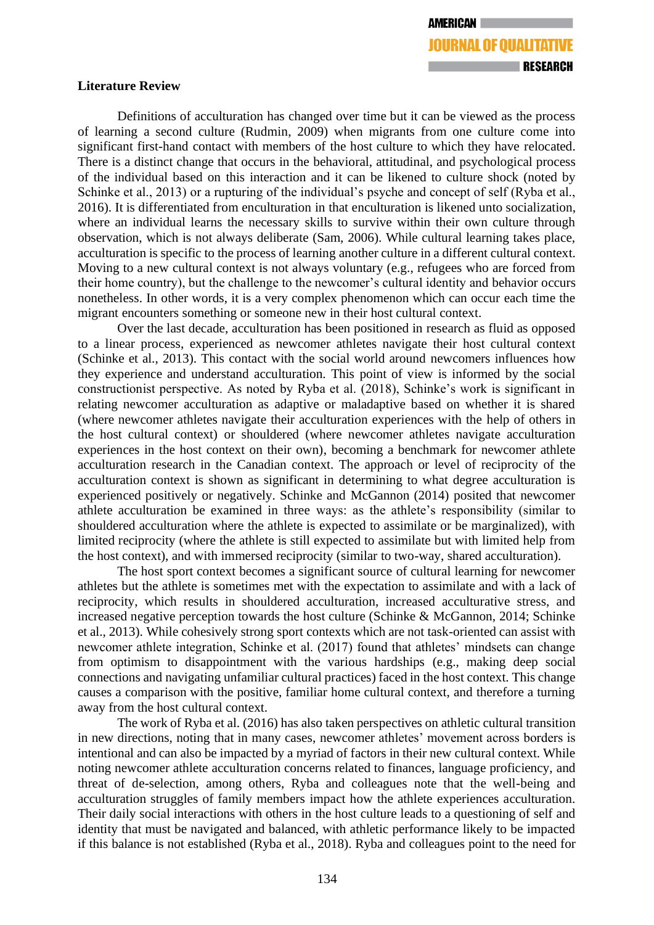# **Literature Review**

Definitions of acculturation has changed over time but it can be viewed as the process of learning a second culture (Rudmin, 2009) when migrants from one culture come into significant first-hand contact with members of the host culture to which they have relocated. There is a distinct change that occurs in the behavioral, attitudinal, and psychological process of the individual based on this interaction and it can be likened to culture shock (noted by Schinke et al., 2013) or a rupturing of the individual's psyche and concept of self (Ryba et al., 2016). It is differentiated from enculturation in that enculturation is likened unto socialization, where an individual learns the necessary skills to survive within their own culture through observation, which is not always deliberate (Sam, 2006). While cultural learning takes place, acculturation is specific to the process of learning another culture in a different cultural context. Moving to a new cultural context is not always voluntary (e.g., refugees who are forced from their home country), but the challenge to the newcomer's cultural identity and behavior occurs nonetheless. In other words, it is a very complex phenomenon which can occur each time the migrant encounters something or someone new in their host cultural context.

Over the last decade, acculturation has been positioned in research as fluid as opposed to a linear process, experienced as newcomer athletes navigate their host cultural context (Schinke et al., 2013). This contact with the social world around newcomers influences how they experience and understand acculturation. This point of view is informed by the social constructionist perspective. As noted by Ryba et al. (2018), Schinke's work is significant in relating newcomer acculturation as adaptive or maladaptive based on whether it is shared (where newcomer athletes navigate their acculturation experiences with the help of others in the host cultural context) or shouldered (where newcomer athletes navigate acculturation experiences in the host context on their own), becoming a benchmark for newcomer athlete acculturation research in the Canadian context. The approach or level of reciprocity of the acculturation context is shown as significant in determining to what degree acculturation is experienced positively or negatively. Schinke and McGannon (2014) posited that newcomer athlete acculturation be examined in three ways: as the athlete's responsibility (similar to shouldered acculturation where the athlete is expected to assimilate or be marginalized), with limited reciprocity (where the athlete is still expected to assimilate but with limited help from the host context), and with immersed reciprocity (similar to two-way, shared acculturation).

The host sport context becomes a significant source of cultural learning for newcomer athletes but the athlete is sometimes met with the expectation to assimilate and with a lack of reciprocity, which results in shouldered acculturation, increased acculturative stress, and increased negative perception towards the host culture (Schinke & McGannon, 2014; Schinke et al., 2013). While cohesively strong sport contexts which are not task-oriented can assist with newcomer athlete integration, Schinke et al. (2017) found that athletes' mindsets can change from optimism to disappointment with the various hardships (e.g., making deep social connections and navigating unfamiliar cultural practices) faced in the host context. This change causes a comparison with the positive, familiar home cultural context, and therefore a turning away from the host cultural context.

The work of Ryba et al. (2016) has also taken perspectives on athletic cultural transition in new directions, noting that in many cases, newcomer athletes' movement across borders is intentional and can also be impacted by a myriad of factors in their new cultural context. While noting newcomer athlete acculturation concerns related to finances, language proficiency, and threat of de-selection, among others, Ryba and colleagues note that the well-being and acculturation struggles of family members impact how the athlete experiences acculturation. Their daily social interactions with others in the host culture leads to a questioning of self and identity that must be navigated and balanced, with athletic performance likely to be impacted if this balance is not established (Ryba et al., 2018). Ryba and colleagues point to the need for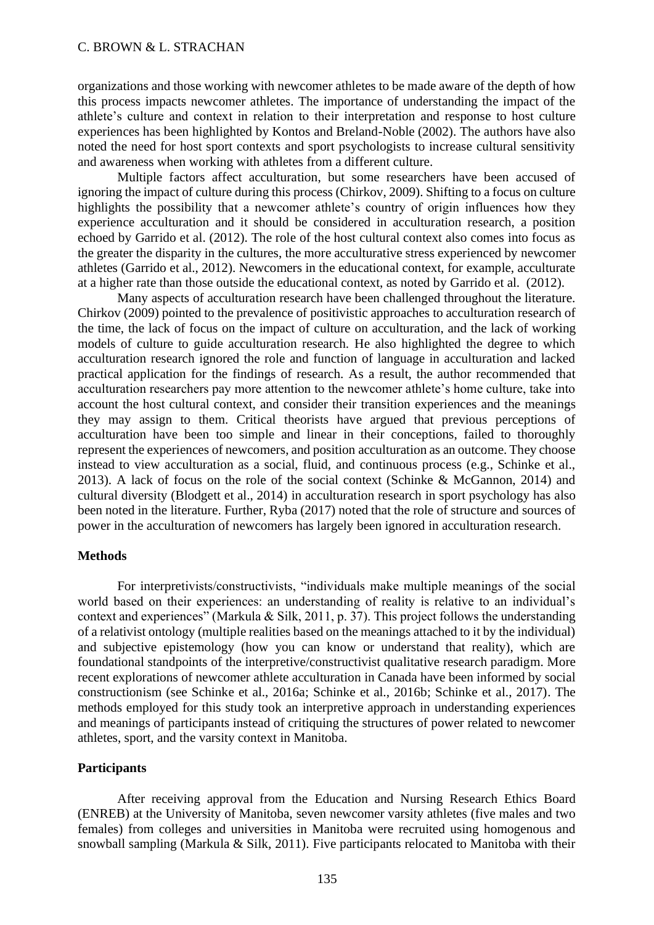organizations and those working with newcomer athletes to be made aware of the depth of how this process impacts newcomer athletes. The importance of understanding the impact of the athlete's culture and context in relation to their interpretation and response to host culture experiences has been highlighted by Kontos and Breland-Noble (2002). The authors have also noted the need for host sport contexts and sport psychologists to increase cultural sensitivity and awareness when working with athletes from a different culture.

Multiple factors affect acculturation, but some researchers have been accused of ignoring the impact of culture during this process (Chirkov, 2009). Shifting to a focus on culture highlights the possibility that a newcomer athlete's country of origin influences how they experience acculturation and it should be considered in acculturation research, a position echoed by Garrido et al. (2012). The role of the host cultural context also comes into focus as the greater the disparity in the cultures, the more acculturative stress experienced by newcomer athletes (Garrido et al., 2012). Newcomers in the educational context, for example, acculturate at a higher rate than those outside the educational context, as noted by Garrido et al. (2012).

Many aspects of acculturation research have been challenged throughout the literature. Chirkov (2009) pointed to the prevalence of positivistic approaches to acculturation research of the time, the lack of focus on the impact of culture on acculturation, and the lack of working models of culture to guide acculturation research. He also highlighted the degree to which acculturation research ignored the role and function of language in acculturation and lacked practical application for the findings of research. As a result, the author recommended that acculturation researchers pay more attention to the newcomer athlete's home culture, take into account the host cultural context, and consider their transition experiences and the meanings they may assign to them. Critical theorists have argued that previous perceptions of acculturation have been too simple and linear in their conceptions, failed to thoroughly represent the experiences of newcomers, and position acculturation as an outcome. They choose instead to view acculturation as a social, fluid, and continuous process (e.g., Schinke et al., 2013). A lack of focus on the role of the social context (Schinke & McGannon, 2014) and cultural diversity (Blodgett et al., 2014) in acculturation research in sport psychology has also been noted in the literature. Further, Ryba (2017) noted that the role of structure and sources of power in the acculturation of newcomers has largely been ignored in acculturation research.

#### **Methods**

For interpretivists/constructivists, "individuals make multiple meanings of the social world based on their experiences: an understanding of reality is relative to an individual's context and experiences" (Markula & Silk, 2011, p. 37). This project follows the understanding of a relativist ontology (multiple realities based on the meanings attached to it by the individual) and subjective epistemology (how you can know or understand that reality), which are foundational standpoints of the interpretive/constructivist qualitative research paradigm. More recent explorations of newcomer athlete acculturation in Canada have been informed by social constructionism (see Schinke et al., 2016a; Schinke et al., 2016b; Schinke et al., 2017). The methods employed for this study took an interpretive approach in understanding experiences and meanings of participants instead of critiquing the structures of power related to newcomer athletes, sport, and the varsity context in Manitoba.

#### **Participants**

After receiving approval from the Education and Nursing Research Ethics Board (ENREB) at the University of Manitoba, seven newcomer varsity athletes (five males and two females) from colleges and universities in Manitoba were recruited using homogenous and snowball sampling (Markula & Silk, 2011). Five participants relocated to Manitoba with their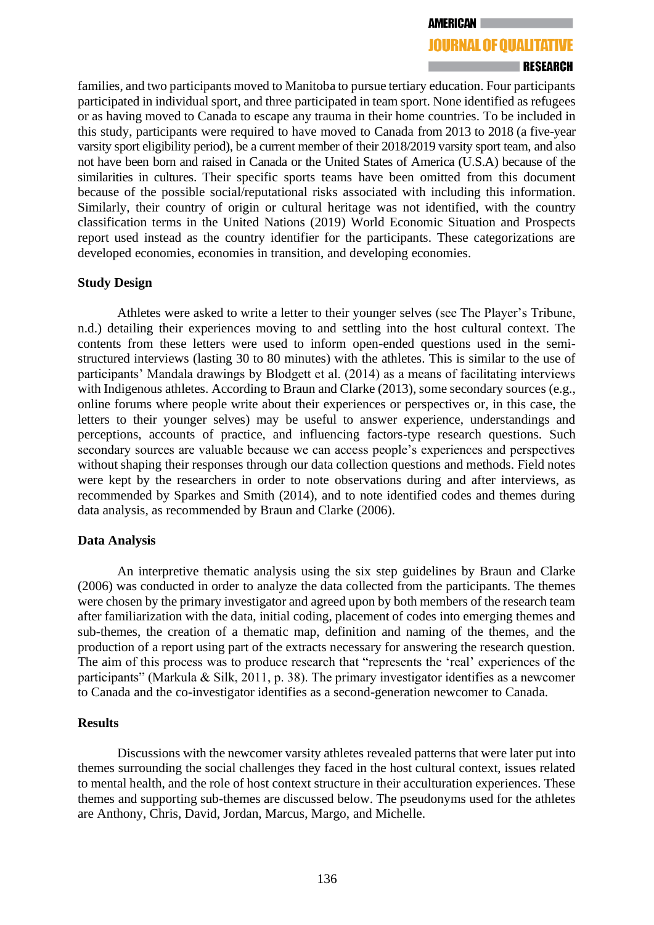#### **JOURNAL OF OUALITATIVE**

families, and two participants moved to Manitoba to pursue tertiary education. Four participants participated in individual sport, and three participated in team sport. None identified as refugees or as having moved to Canada to escape any trauma in their home countries. To be included in this study, participants were required to have moved to Canada from 2013 to 2018 (a five-year varsity sport eligibility period), be a current member of their 2018/2019 varsity sport team, and also not have been born and raised in Canada or the United States of America (U.S.A) because of the similarities in cultures. Their specific sports teams have been omitted from this document because of the possible social/reputational risks associated with including this information. Similarly, their country of origin or cultural heritage was not identified, with the country classification terms in the United Nations (2019) World Economic Situation and Prospects report used instead as the country identifier for the participants. These categorizations are developed economies, economies in transition, and developing economies.

#### **Study Design**

Athletes were asked to write a letter to their younger selves (see The Player's Tribune, n.d.) detailing their experiences moving to and settling into the host cultural context. The contents from these letters were used to inform open-ended questions used in the semistructured interviews (lasting 30 to 80 minutes) with the athletes. This is similar to the use of participants' Mandala drawings by Blodgett et al. (2014) as a means of facilitating interviews with Indigenous athletes. According to Braun and Clarke (2013), some secondary sources (e.g., online forums where people write about their experiences or perspectives or, in this case, the letters to their younger selves) may be useful to answer experience, understandings and perceptions, accounts of practice, and influencing factors-type research questions. Such secondary sources are valuable because we can access people's experiences and perspectives without shaping their responses through our data collection questions and methods. Field notes were kept by the researchers in order to note observations during and after interviews, as recommended by Sparkes and Smith (2014), and to note identified codes and themes during data analysis, as recommended by Braun and Clarke (2006).

#### **Data Analysis**

An interpretive thematic analysis using the six step guidelines by Braun and Clarke (2006) was conducted in order to analyze the data collected from the participants. The themes were chosen by the primary investigator and agreed upon by both members of the research team after familiarization with the data, initial coding, placement of codes into emerging themes and sub-themes, the creation of a thematic map, definition and naming of the themes, and the production of a report using part of the extracts necessary for answering the research question. The aim of this process was to produce research that "represents the 'real' experiences of the participants" (Markula & Silk, 2011, p. 38). The primary investigator identifies as a newcomer to Canada and the co-investigator identifies as a second-generation newcomer to Canada.

#### **Results**

Discussions with the newcomer varsity athletes revealed patterns that were later put into themes surrounding the social challenges they faced in the host cultural context, issues related to mental health, and the role of host context structure in their acculturation experiences. These themes and supporting sub-themes are discussed below. The pseudonyms used for the athletes are Anthony, Chris, David, Jordan, Marcus, Margo, and Michelle.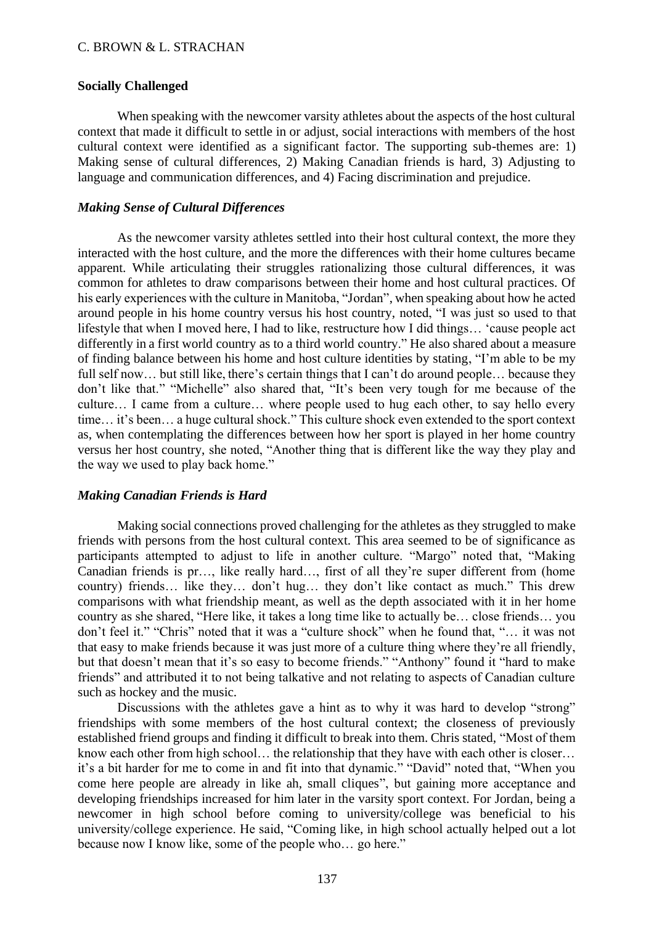# **Socially Challenged**

When speaking with the newcomer varsity athletes about the aspects of the host cultural context that made it difficult to settle in or adjust, social interactions with members of the host cultural context were identified as a significant factor. The supporting sub-themes are: 1) Making sense of cultural differences, 2) Making Canadian friends is hard, 3) Adjusting to language and communication differences, and 4) Facing discrimination and prejudice.

# *Making Sense of Cultural Differences*

As the newcomer varsity athletes settled into their host cultural context, the more they interacted with the host culture, and the more the differences with their home cultures became apparent. While articulating their struggles rationalizing those cultural differences, it was common for athletes to draw comparisons between their home and host cultural practices. Of his early experiences with the culture in Manitoba, "Jordan", when speaking about how he acted around people in his home country versus his host country, noted, "I was just so used to that lifestyle that when I moved here, I had to like, restructure how I did things… 'cause people act differently in a first world country as to a third world country." He also shared about a measure of finding balance between his home and host culture identities by stating, "I'm able to be my full self now... but still like, there's certain things that I can't do around people... because they don't like that." "Michelle" also shared that, "It's been very tough for me because of the culture… I came from a culture… where people used to hug each other, to say hello every time… it's been… a huge cultural shock." This culture shock even extended to the sport context as, when contemplating the differences between how her sport is played in her home country versus her host country, she noted, "Another thing that is different like the way they play and the way we used to play back home."

# *Making Canadian Friends is Hard*

Making social connections proved challenging for the athletes as they struggled to make friends with persons from the host cultural context. This area seemed to be of significance as participants attempted to adjust to life in another culture. "Margo" noted that, "Making Canadian friends is pr…, like really hard…, first of all they're super different from (home country) friends… like they… don't hug… they don't like contact as much." This drew comparisons with what friendship meant, as well as the depth associated with it in her home country as she shared, "Here like, it takes a long time like to actually be… close friends… you don't feel it." "Chris" noted that it was a "culture shock" when he found that, "… it was not that easy to make friends because it was just more of a culture thing where they're all friendly, but that doesn't mean that it's so easy to become friends." "Anthony" found it "hard to make friends" and attributed it to not being talkative and not relating to aspects of Canadian culture such as hockey and the music.

Discussions with the athletes gave a hint as to why it was hard to develop "strong" friendships with some members of the host cultural context; the closeness of previously established friend groups and finding it difficult to break into them. Chris stated, "Most of them know each other from high school… the relationship that they have with each other is closer… it's a bit harder for me to come in and fit into that dynamic." "David" noted that, "When you come here people are already in like ah, small cliques", but gaining more acceptance and developing friendships increased for him later in the varsity sport context. For Jordan, being a newcomer in high school before coming to university/college was beneficial to his university/college experience. He said, "Coming like, in high school actually helped out a lot because now I know like, some of the people who… go here."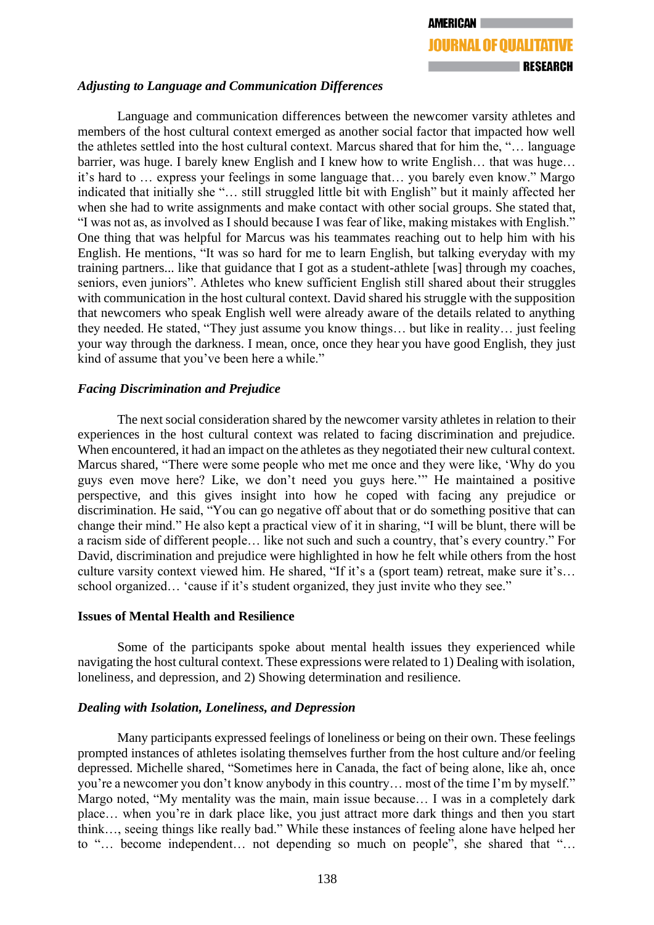# *Adjusting to Language and Communication Differences*

Language and communication differences between the newcomer varsity athletes and members of the host cultural context emerged as another social factor that impacted how well the athletes settled into the host cultural context. Marcus shared that for him the, "… language barrier, was huge. I barely knew English and I knew how to write English… that was huge… it's hard to … express your feelings in some language that… you barely even know." Margo indicated that initially she "… still struggled little bit with English" but it mainly affected her when she had to write assignments and make contact with other social groups. She stated that, "I was not as, as involved as I should because I was fear of like, making mistakes with English." One thing that was helpful for Marcus was his teammates reaching out to help him with his English. He mentions, "It was so hard for me to learn English, but talking everyday with my training partners... like that guidance that I got as a student-athlete [was] through my coaches, seniors, even juniors". Athletes who knew sufficient English still shared about their struggles with communication in the host cultural context. David shared his struggle with the supposition that newcomers who speak English well were already aware of the details related to anything they needed. He stated, "They just assume you know things… but like in reality… just feeling your way through the darkness. I mean, once, once they hear you have good English, they just kind of assume that you've been here a while."

# *Facing Discrimination and Prejudice*

The next social consideration shared by the newcomer varsity athletes in relation to their experiences in the host cultural context was related to facing discrimination and prejudice. When encountered, it had an impact on the athletes as they negotiated their new cultural context. Marcus shared, "There were some people who met me once and they were like, 'Why do you guys even move here? Like, we don't need you guys here.'" He maintained a positive perspective, and this gives insight into how he coped with facing any prejudice or discrimination. He said, "You can go negative off about that or do something positive that can change their mind." He also kept a practical view of it in sharing, "I will be blunt, there will be a racism side of different people… like not such and such a country, that's every country." For David, discrimination and prejudice were highlighted in how he felt while others from the host culture varsity context viewed him. He shared, "If it's a (sport team) retreat, make sure it's… school organized… 'cause if it's student organized, they just invite who they see."

# **Issues of Mental Health and Resilience**

Some of the participants spoke about mental health issues they experienced while navigating the host cultural context. These expressions were related to 1) Dealing with isolation, loneliness, and depression, and 2) Showing determination and resilience.

# *Dealing with Isolation, Loneliness, and Depression*

Many participants expressed feelings of loneliness or being on their own. These feelings prompted instances of athletes isolating themselves further from the host culture and/or feeling depressed. Michelle shared, "Sometimes here in Canada, the fact of being alone, like ah, once you're a newcomer you don't know anybody in this country… most of the time I'm by myself." Margo noted, "My mentality was the main, main issue because… I was in a completely dark place… when you're in dark place like, you just attract more dark things and then you start think…, seeing things like really bad." While these instances of feeling alone have helped her to "… become independent… not depending so much on people", she shared that "…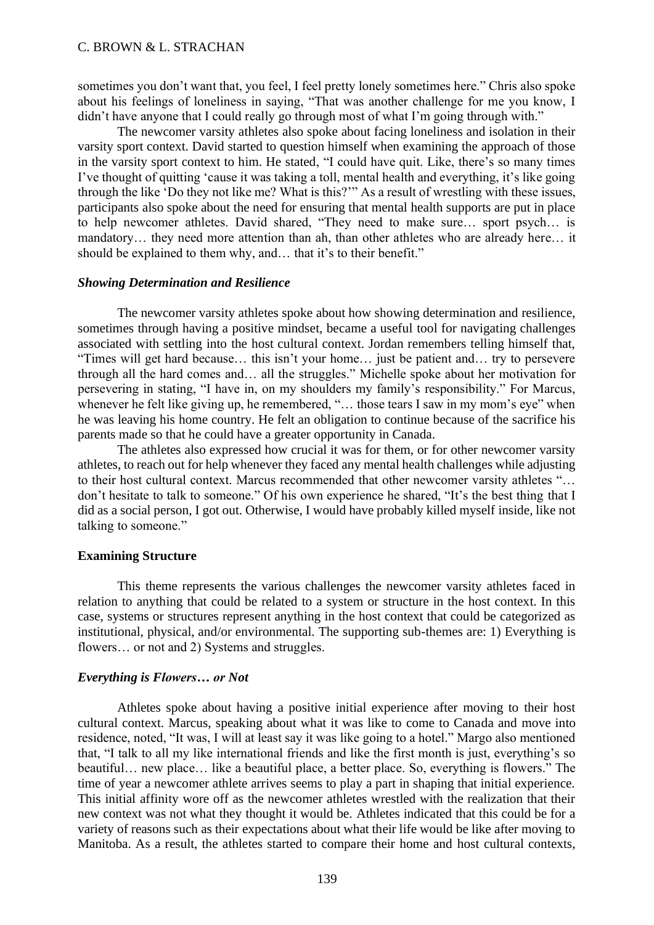sometimes you don't want that, you feel, I feel pretty lonely sometimes here." Chris also spoke about his feelings of loneliness in saying, "That was another challenge for me you know, I didn't have anyone that I could really go through most of what I'm going through with."

The newcomer varsity athletes also spoke about facing loneliness and isolation in their varsity sport context. David started to question himself when examining the approach of those in the varsity sport context to him. He stated, "I could have quit. Like, there's so many times I've thought of quitting 'cause it was taking a toll, mental health and everything, it's like going through the like 'Do they not like me? What is this?'" As a result of wrestling with these issues, participants also spoke about the need for ensuring that mental health supports are put in place to help newcomer athletes. David shared, "They need to make sure… sport psych… is mandatory… they need more attention than ah, than other athletes who are already here… it should be explained to them why, and… that it's to their benefit."

#### *Showing Determination and Resilience*

The newcomer varsity athletes spoke about how showing determination and resilience, sometimes through having a positive mindset, became a useful tool for navigating challenges associated with settling into the host cultural context. Jordan remembers telling himself that, "Times will get hard because… this isn't your home… just be patient and… try to persevere through all the hard comes and… all the struggles." Michelle spoke about her motivation for persevering in stating, "I have in, on my shoulders my family's responsibility." For Marcus, whenever he felt like giving up, he remembered, "... those tears I saw in my mom's eve" when he was leaving his home country. He felt an obligation to continue because of the sacrifice his parents made so that he could have a greater opportunity in Canada.

The athletes also expressed how crucial it was for them, or for other newcomer varsity athletes, to reach out for help whenever they faced any mental health challenges while adjusting to their host cultural context. Marcus recommended that other newcomer varsity athletes "… don't hesitate to talk to someone." Of his own experience he shared, "It's the best thing that I did as a social person, I got out. Otherwise, I would have probably killed myself inside, like not talking to someone."

# **Examining Structure**

This theme represents the various challenges the newcomer varsity athletes faced in relation to anything that could be related to a system or structure in the host context. In this case, systems or structures represent anything in the host context that could be categorized as institutional, physical, and/or environmental. The supporting sub-themes are: 1) Everything is flowers... or not and 2) Systems and struggles.

# *Everything is Flowers… or Not*

Athletes spoke about having a positive initial experience after moving to their host cultural context. Marcus, speaking about what it was like to come to Canada and move into residence, noted, "It was, I will at least say it was like going to a hotel." Margo also mentioned that, "I talk to all my like international friends and like the first month is just, everything's so beautiful… new place… like a beautiful place, a better place. So, everything is flowers." The time of year a newcomer athlete arrives seems to play a part in shaping that initial experience. This initial affinity wore off as the newcomer athletes wrestled with the realization that their new context was not what they thought it would be. Athletes indicated that this could be for a variety of reasons such as their expectations about what their life would be like after moving to Manitoba. As a result, the athletes started to compare their home and host cultural contexts,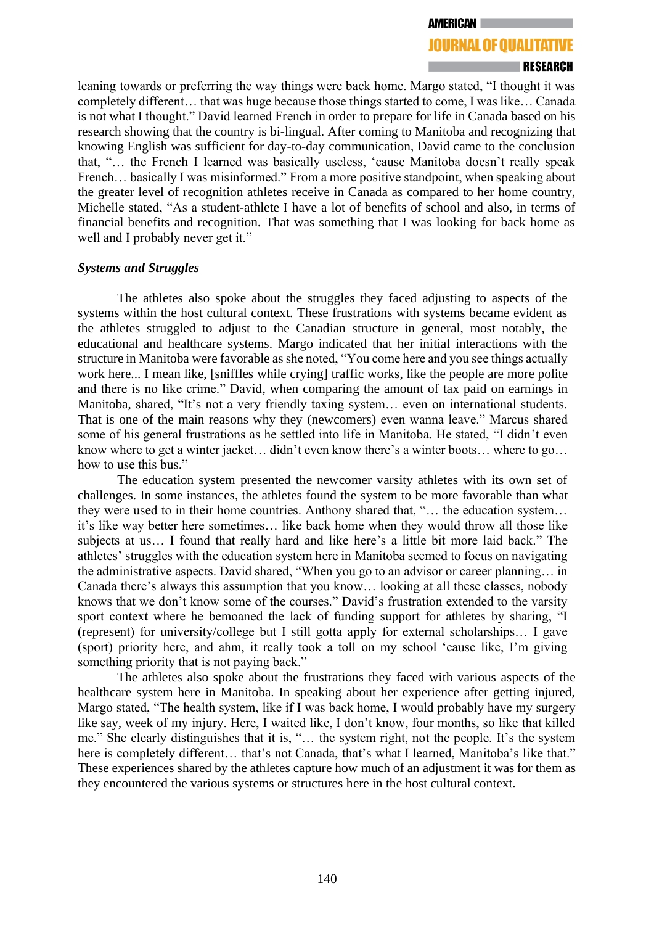# **JOURNAL OF OUALITATIVE**

leaning towards or preferring the way things were back home. Margo stated, "I thought it was completely different… that was huge because those things started to come, I was like… Canada is not what I thought." David learned French in order to prepare for life in Canada based on his research showing that the country is bi-lingual. After coming to Manitoba and recognizing that knowing English was sufficient for day-to-day communication, David came to the conclusion that, "… the French I learned was basically useless, 'cause Manitoba doesn't really speak French... basically I was misinformed." From a more positive standpoint, when speaking about the greater level of recognition athletes receive in Canada as compared to her home country, Michelle stated, "As a student-athlete I have a lot of benefits of school and also, in terms of financial benefits and recognition. That was something that I was looking for back home as well and I probably never get it."

#### *Systems and Struggles*

The athletes also spoke about the struggles they faced adjusting to aspects of the systems within the host cultural context. These frustrations with systems became evident as the athletes struggled to adjust to the Canadian structure in general, most notably, the educational and healthcare systems. Margo indicated that her initial interactions with the structure in Manitoba were favorable as she noted, "You come here and you see things actually work here... I mean like, [sniffles while crying] traffic works, like the people are more polite and there is no like crime." David, when comparing the amount of tax paid on earnings in Manitoba, shared, "It's not a very friendly taxing system… even on international students. That is one of the main reasons why they (newcomers) even wanna leave." Marcus shared some of his general frustrations as he settled into life in Manitoba. He stated, "I didn't even know where to get a winter jacket… didn't even know there's a winter boots… where to go… how to use this bus."

The education system presented the newcomer varsity athletes with its own set of challenges. In some instances, the athletes found the system to be more favorable than what they were used to in their home countries. Anthony shared that, "… the education system… it's like way better here sometimes… like back home when they would throw all those like subjects at us… I found that really hard and like here's a little bit more laid back." The athletes' struggles with the education system here in Manitoba seemed to focus on navigating the administrative aspects. David shared, "When you go to an advisor or career planning… in Canada there's always this assumption that you know… looking at all these classes, nobody knows that we don't know some of the courses." David's frustration extended to the varsity sport context where he bemoaned the lack of funding support for athletes by sharing, "I (represent) for university/college but I still gotta apply for external scholarships… I gave (sport) priority here, and ahm, it really took a toll on my school 'cause like, I'm giving something priority that is not paying back."

The athletes also spoke about the frustrations they faced with various aspects of the healthcare system here in Manitoba. In speaking about her experience after getting injured, Margo stated, "The health system, like if I was back home, I would probably have my surgery like say, week of my injury. Here, I waited like, I don't know, four months, so like that killed me." She clearly distinguishes that it is, "… the system right, not the people. It's the system here is completely different... that's not Canada, that's what I learned, Manitoba's like that." These experiences shared by the athletes capture how much of an adjustment it was for them as they encountered the various systems or structures here in the host cultural context.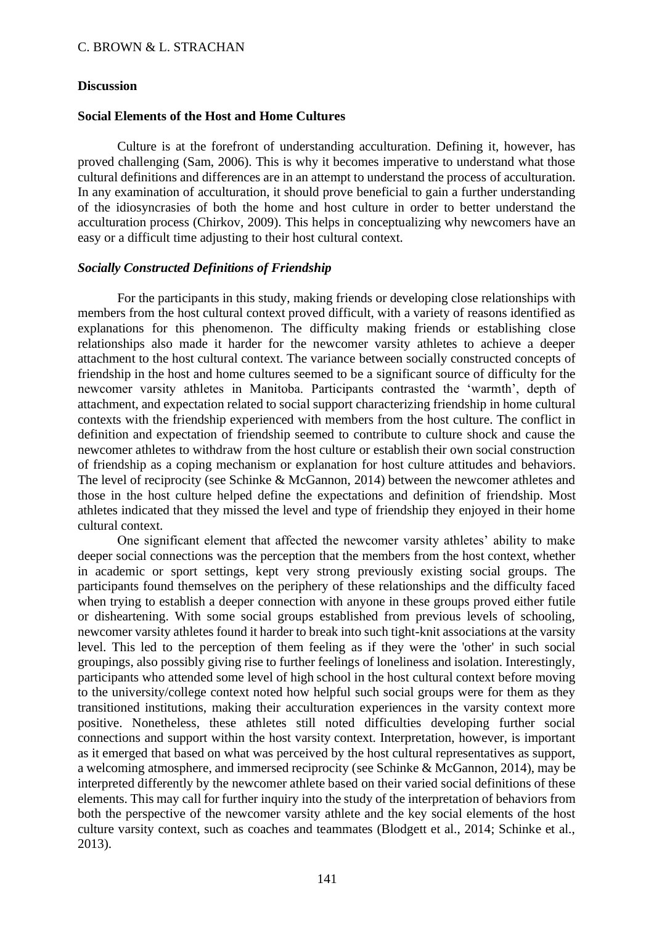# **Discussion**

# **Social Elements of the Host and Home Cultures**

Culture is at the forefront of understanding acculturation. Defining it, however, has proved challenging (Sam, 2006). This is why it becomes imperative to understand what those cultural definitions and differences are in an attempt to understand the process of acculturation. In any examination of acculturation, it should prove beneficial to gain a further understanding of the idiosyncrasies of both the home and host culture in order to better understand the acculturation process (Chirkov, 2009). This helps in conceptualizing why newcomers have an easy or a difficult time adjusting to their host cultural context.

# *Socially Constructed Definitions of Friendship*

For the participants in this study, making friends or developing close relationships with members from the host cultural context proved difficult, with a variety of reasons identified as explanations for this phenomenon. The difficulty making friends or establishing close relationships also made it harder for the newcomer varsity athletes to achieve a deeper attachment to the host cultural context. The variance between socially constructed concepts of friendship in the host and home cultures seemed to be a significant source of difficulty for the newcomer varsity athletes in Manitoba. Participants contrasted the 'warmth', depth of attachment, and expectation related to social support characterizing friendship in home cultural contexts with the friendship experienced with members from the host culture. The conflict in definition and expectation of friendship seemed to contribute to culture shock and cause the newcomer athletes to withdraw from the host culture or establish their own social construction of friendship as a coping mechanism or explanation for host culture attitudes and behaviors. The level of reciprocity (see Schinke & McGannon, 2014) between the newcomer athletes and those in the host culture helped define the expectations and definition of friendship. Most athletes indicated that they missed the level and type of friendship they enjoyed in their home cultural context.

One significant element that affected the newcomer varsity athletes' ability to make deeper social connections was the perception that the members from the host context, whether in academic or sport settings, kept very strong previously existing social groups. The participants found themselves on the periphery of these relationships and the difficulty faced when trying to establish a deeper connection with anyone in these groups proved either futile or disheartening. With some social groups established from previous levels of schooling, newcomer varsity athletes found it harder to break into such tight-knit associations at the varsity level. This led to the perception of them feeling as if they were the 'other' in such social groupings, also possibly giving rise to further feelings of loneliness and isolation. Interestingly, participants who attended some level of high school in the host cultural context before moving to the university/college context noted how helpful such social groups were for them as they transitioned institutions, making their acculturation experiences in the varsity context more positive. Nonetheless, these athletes still noted difficulties developing further social connections and support within the host varsity context. Interpretation, however, is important as it emerged that based on what was perceived by the host cultural representatives as support, a welcoming atmosphere, and immersed reciprocity (see Schinke & McGannon, 2014), may be interpreted differently by the newcomer athlete based on their varied social definitions of these elements. This may call for further inquiry into the study of the interpretation of behaviors from both the perspective of the newcomer varsity athlete and the key social elements of the host culture varsity context, such as coaches and teammates (Blodgett et al., 2014; Schinke et al., 2013).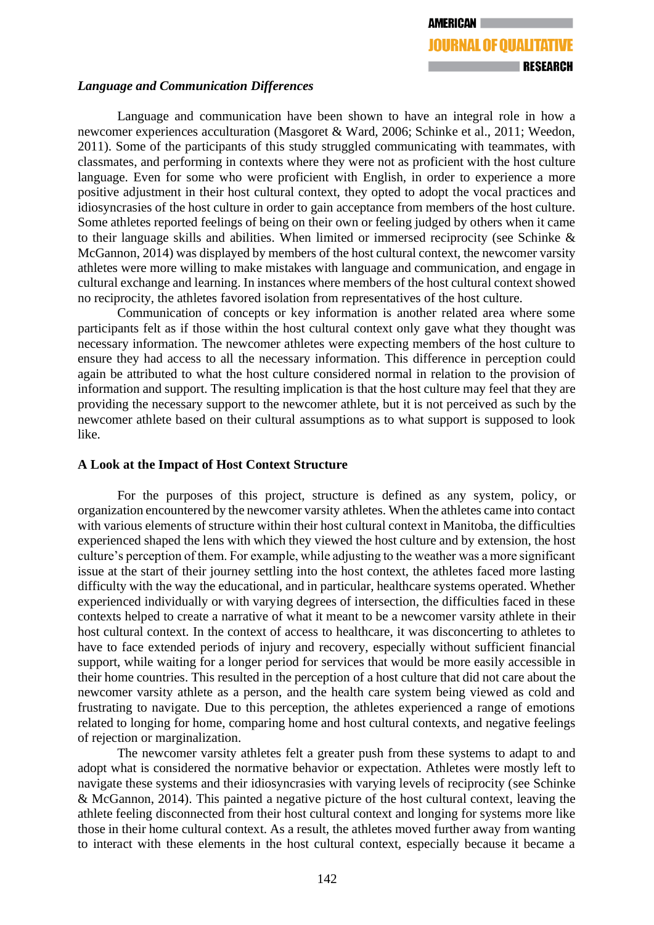# *Language and Communication Differences*

Language and communication have been shown to have an integral role in how a newcomer experiences acculturation (Masgoret & Ward, 2006; Schinke et al., 2011; Weedon, 2011). Some of the participants of this study struggled communicating with teammates, with classmates, and performing in contexts where they were not as proficient with the host culture language. Even for some who were proficient with English, in order to experience a more positive adjustment in their host cultural context, they opted to adopt the vocal practices and idiosyncrasies of the host culture in order to gain acceptance from members of the host culture. Some athletes reported feelings of being on their own or feeling judged by others when it came to their language skills and abilities. When limited or immersed reciprocity (see Schinke & McGannon, 2014) was displayed by members of the host cultural context, the newcomer varsity athletes were more willing to make mistakes with language and communication, and engage in cultural exchange and learning. In instances where members of the host cultural context showed no reciprocity, the athletes favored isolation from representatives of the host culture.

Communication of concepts or key information is another related area where some participants felt as if those within the host cultural context only gave what they thought was necessary information. The newcomer athletes were expecting members of the host culture to ensure they had access to all the necessary information. This difference in perception could again be attributed to what the host culture considered normal in relation to the provision of information and support. The resulting implication is that the host culture may feel that they are providing the necessary support to the newcomer athlete, but it is not perceived as such by the newcomer athlete based on their cultural assumptions as to what support is supposed to look like.

# **A Look at the Impact of Host Context Structure**

For the purposes of this project, structure is defined as any system, policy, or organization encountered by the newcomer varsity athletes. When the athletes came into contact with various elements of structure within their host cultural context in Manitoba, the difficulties experienced shaped the lens with which they viewed the host culture and by extension, the host culture's perception of them. For example, while adjusting to the weather was a more significant issue at the start of their journey settling into the host context, the athletes faced more lasting difficulty with the way the educational, and in particular, healthcare systems operated. Whether experienced individually or with varying degrees of intersection, the difficulties faced in these contexts helped to create a narrative of what it meant to be a newcomer varsity athlete in their host cultural context. In the context of access to healthcare, it was disconcerting to athletes to have to face extended periods of injury and recovery, especially without sufficient financial support, while waiting for a longer period for services that would be more easily accessible in their home countries. This resulted in the perception of a host culture that did not care about the newcomer varsity athlete as a person, and the health care system being viewed as cold and frustrating to navigate. Due to this perception, the athletes experienced a range of emotions related to longing for home, comparing home and host cultural contexts, and negative feelings of rejection or marginalization.

The newcomer varsity athletes felt a greater push from these systems to adapt to and adopt what is considered the normative behavior or expectation. Athletes were mostly left to navigate these systems and their idiosyncrasies with varying levels of reciprocity (see Schinke & McGannon, 2014). This painted a negative picture of the host cultural context, leaving the athlete feeling disconnected from their host cultural context and longing for systems more like those in their home cultural context. As a result, the athletes moved further away from wanting to interact with these elements in the host cultural context, especially because it became a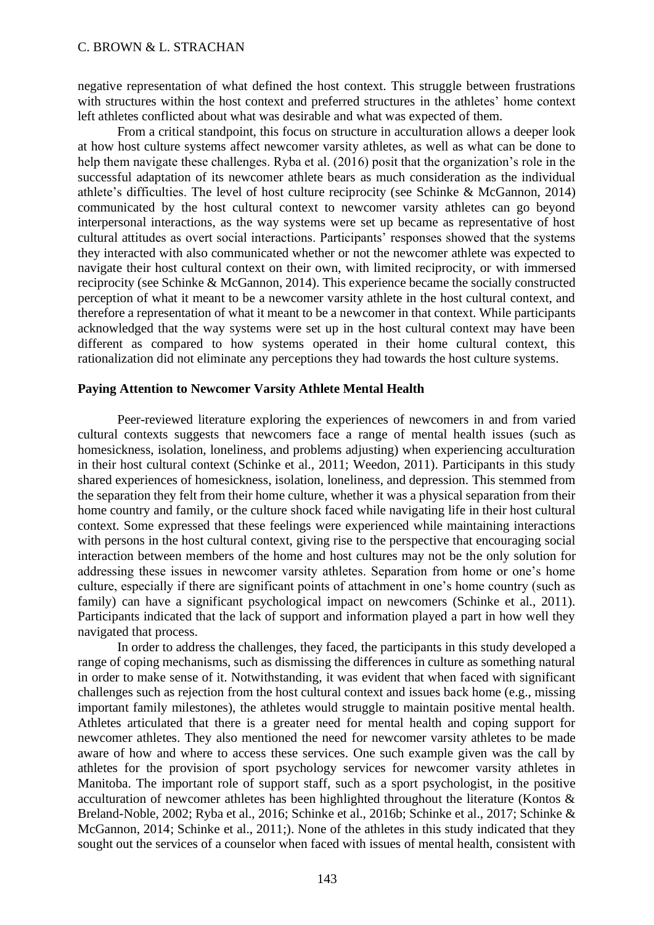negative representation of what defined the host context. This struggle between frustrations with structures within the host context and preferred structures in the athletes' home context left athletes conflicted about what was desirable and what was expected of them.

From a critical standpoint, this focus on structure in acculturation allows a deeper look at how host culture systems affect newcomer varsity athletes, as well as what can be done to help them navigate these challenges. Ryba et al. (2016) posit that the organization's role in the successful adaptation of its newcomer athlete bears as much consideration as the individual athlete's difficulties. The level of host culture reciprocity (see Schinke & McGannon, 2014) communicated by the host cultural context to newcomer varsity athletes can go beyond interpersonal interactions, as the way systems were set up became as representative of host cultural attitudes as overt social interactions. Participants' responses showed that the systems they interacted with also communicated whether or not the newcomer athlete was expected to navigate their host cultural context on their own, with limited reciprocity, or with immersed reciprocity (see Schinke & McGannon, 2014). This experience became the socially constructed perception of what it meant to be a newcomer varsity athlete in the host cultural context, and therefore a representation of what it meant to be a newcomer in that context. While participants acknowledged that the way systems were set up in the host cultural context may have been different as compared to how systems operated in their home cultural context, this rationalization did not eliminate any perceptions they had towards the host culture systems.

#### **Paying Attention to Newcomer Varsity Athlete Mental Health**

Peer-reviewed literature exploring the experiences of newcomers in and from varied cultural contexts suggests that newcomers face a range of mental health issues (such as homesickness, isolation, loneliness, and problems adjusting) when experiencing acculturation in their host cultural context (Schinke et al., 2011; Weedon, 2011). Participants in this study shared experiences of homesickness, isolation, loneliness, and depression. This stemmed from the separation they felt from their home culture, whether it was a physical separation from their home country and family, or the culture shock faced while navigating life in their host cultural context. Some expressed that these feelings were experienced while maintaining interactions with persons in the host cultural context, giving rise to the perspective that encouraging social interaction between members of the home and host cultures may not be the only solution for addressing these issues in newcomer varsity athletes. Separation from home or one's home culture, especially if there are significant points of attachment in one's home country (such as family) can have a significant psychological impact on newcomers (Schinke et al., 2011). Participants indicated that the lack of support and information played a part in how well they navigated that process.

In order to address the challenges, they faced, the participants in this study developed a range of coping mechanisms, such as dismissing the differences in culture as something natural in order to make sense of it. Notwithstanding, it was evident that when faced with significant challenges such as rejection from the host cultural context and issues back home (e.g., missing important family milestones), the athletes would struggle to maintain positive mental health. Athletes articulated that there is a greater need for mental health and coping support for newcomer athletes. They also mentioned the need for newcomer varsity athletes to be made aware of how and where to access these services. One such example given was the call by athletes for the provision of sport psychology services for newcomer varsity athletes in Manitoba. The important role of support staff, such as a sport psychologist, in the positive acculturation of newcomer athletes has been highlighted throughout the literature (Kontos & Breland-Noble, 2002; Ryba et al., 2016; Schinke et al., 2016b; Schinke et al., 2017; Schinke & McGannon, 2014; Schinke et al., 2011;). None of the athletes in this study indicated that they sought out the services of a counselor when faced with issues of mental health, consistent with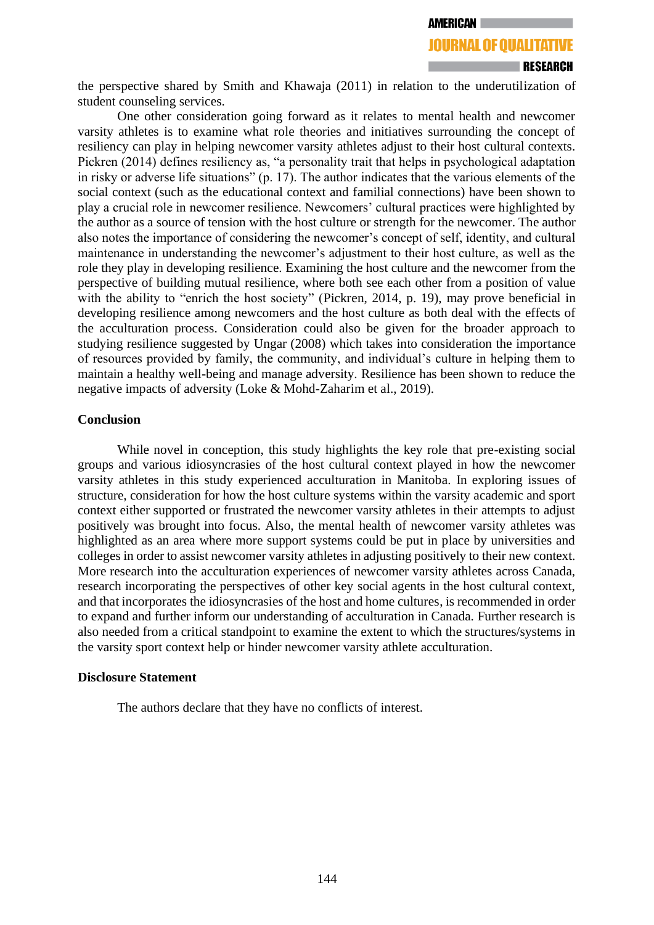**JOURNAL OF OUALITATIVE** 

# the perspective shared by Smith and Khawaja (2011) in relation to the underutilization of student counseling services.

One other consideration going forward as it relates to mental health and newcomer varsity athletes is to examine what role theories and initiatives surrounding the concept of resiliency can play in helping newcomer varsity athletes adjust to their host cultural contexts. Pickren (2014) defines resiliency as, "a personality trait that helps in psychological adaptation in risky or adverse life situations" (p. 17). The author indicates that the various elements of the social context (such as the educational context and familial connections) have been shown to play a crucial role in newcomer resilience. Newcomers' cultural practices were highlighted by the author as a source of tension with the host culture or strength for the newcomer. The author also notes the importance of considering the newcomer's concept of self, identity, and cultural maintenance in understanding the newcomer's adjustment to their host culture, as well as the role they play in developing resilience. Examining the host culture and the newcomer from the perspective of building mutual resilience, where both see each other from a position of value with the ability to "enrich the host society" (Pickren, 2014, p. 19), may prove beneficial in developing resilience among newcomers and the host culture as both deal with the effects of the acculturation process. Consideration could also be given for the broader approach to studying resilience suggested by Ungar (2008) which takes into consideration the importance of resources provided by family, the community, and individual's culture in helping them to maintain a healthy well-being and manage adversity. Resilience has been shown to reduce the negative impacts of adversity (Loke & Mohd-Zaharim et al., 2019).

#### **Conclusion**

While novel in conception, this study highlights the key role that pre-existing social groups and various idiosyncrasies of the host cultural context played in how the newcomer varsity athletes in this study experienced acculturation in Manitoba. In exploring issues of structure, consideration for how the host culture systems within the varsity academic and sport context either supported or frustrated the newcomer varsity athletes in their attempts to adjust positively was brought into focus. Also, the mental health of newcomer varsity athletes was highlighted as an area where more support systems could be put in place by universities and colleges in order to assist newcomer varsity athletes in adjusting positively to their new context. More research into the acculturation experiences of newcomer varsity athletes across Canada, research incorporating the perspectives of other key social agents in the host cultural context, and that incorporates the idiosyncrasies of the host and home cultures, is recommended in order to expand and further inform our understanding of acculturation in Canada. Further research is also needed from a critical standpoint to examine the extent to which the structures/systems in the varsity sport context help or hinder newcomer varsity athlete acculturation.

#### **Disclosure Statement**

The authors declare that they have no conflicts of interest.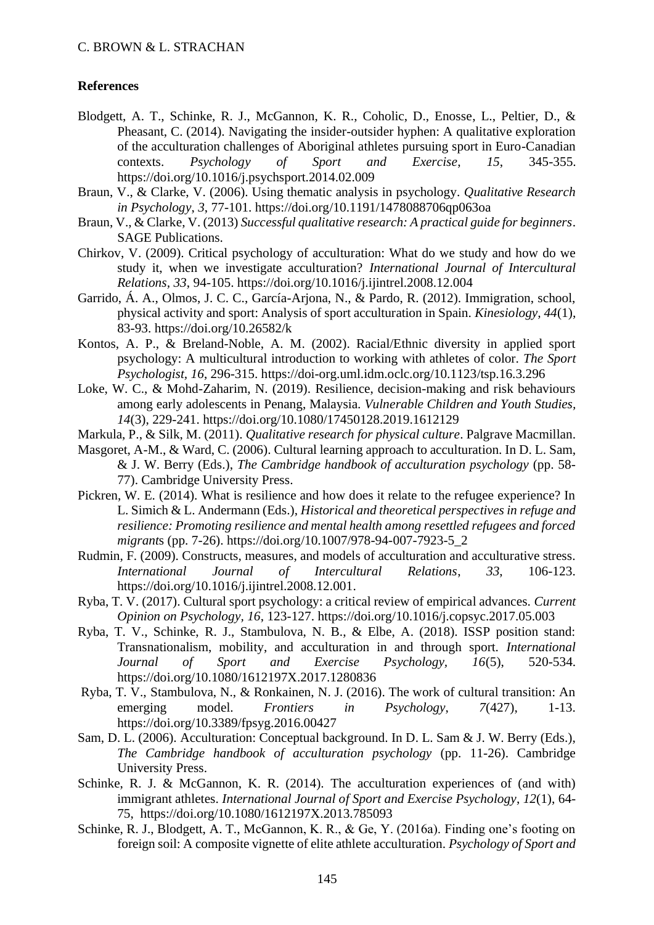# **References**

- Blodgett, A. T., Schinke, R. J., McGannon, K. R., Coholic, D., Enosse, L., Peltier, D., & Pheasant, C. (2014). Navigating the insider-outsider hyphen: A qualitative exploration of the acculturation challenges of Aboriginal athletes pursuing sport in Euro-Canadian contexts. *Psychology of Sport and Exercise*, *15*, 345-355. [https://doi.org/10.1016/j.psychsport.2014.02.009](about:blank)
- Braun, V., & Clarke, V. (2006). Using thematic analysis in psychology. *Qualitative Research in Psychology*, *3*, 77-101. [https://doi.org/10.1191/1478088706qp063oa](about:blank)
- Braun, V., & Clarke, V. (2013) *Successful qualitative research: A practical guide for beginners*. SAGE Publications.
- Chirkov, V. (2009). Critical psychology of acculturation: What do we study and how do we study it, when we investigate acculturation? *International Journal of Intercultural Relations, 33*, 94-105. [https://doi.org/10.1016/j.ijintrel.2008.12.004](about:blank)
- Garrido, Á. A., Olmos, J. C. C., García-Arjona, N., & Pardo, R. (2012). Immigration, school, physical activity and sport: Analysis of sport acculturation in Spain. *Kinesiology, 44*(1), 83-93. [https://doi.org/10.26582/k](about:blank)
- Kontos, A. P., & Breland-Noble, A. M. (2002). Racial/Ethnic diversity in applied sport psychology: A multicultural introduction to working with athletes of color. *The Sport Psychologist, 16*, 296-315. https://doi-org.uml.idm.oclc.org/10.1123/tsp.16.3.296
- Loke, W. C., & Mohd-Zaharim, N. (2019). Resilience, decision-making and risk behaviours among early adolescents in Penang, Malaysia. *Vulnerable Children and Youth Studies, 14*(3), 229-241. [https://doi.org/10.1080/17450128.2019.1612129](about:blank)
- Markula, P., & Silk, M. (2011). *Qualitative research for physical culture*. Palgrave Macmillan.
- Masgoret, A-M., & Ward, C. (2006). Cultural learning approach to acculturation. In D. L. Sam, & J. W. Berry (Eds.), *The Cambridge handbook of acculturation psychology* (pp. 58- 77). Cambridge University Press.
- Pickren, W. E. (2014). What is resilience and how does it relate to the refugee experience? In L. Simich & L. Andermann (Eds.), *Historical and theoretical perspectives in refuge and resilience: Promoting resilience and mental health among resettled refugees and forced migrant*s (pp. 7-26). [https://doi.org/10.1007/978-94-007-7923-5\\_2](about:blank)
- Rudmin, F. (2009). Constructs, measures, and models of acculturation and acculturative stress. *International Journal of Intercultural Relations*, *33*, 106-123. [https://doi.org/10.1016/j.ijintrel.2008.12.001.](about:blank)
- Ryba, T. V. (2017). Cultural sport psychology: a critical review of empirical advances. *Current Opinion on Psychology, 16*, 123-127. [https://doi.org/10.1016/j.copsyc.2017.05.003](about:blank)
- Ryba, T. V., Schinke, R. J., Stambulova, N. B., & Elbe, A. (2018). ISSP position stand: Transnationalism, mobility, and acculturation in and through sport. *International Journal of Sport and Exercise Psychology, 16*(5), 520-534. [https://doi.org/10.1080/1612197X.2017.1280836](about:blank)
- Ryba, T. V., Stambulova, N., & Ronkainen, N. J. (2016). The work of cultural transition: An emerging model. *Frontiers in Psychology*, *7*(427), 1-13. https://doi.org/10.3389/fpsyg.2016.00427
- Sam, D. L. (2006). Acculturation: Conceptual background. In D. L. Sam & J. W. Berry (Eds.), *The Cambridge handbook of acculturation psychology* (pp. 11-26). Cambridge University Press.
- Schinke, R. J. & McGannon, K. R. (2014). The acculturation experiences of (and with) immigrant athletes. *International Journal of Sport and Exercise Psychology*, *12*(1), 64- 75, https://doi.org/10.1080/1612197X.2013.785093
- Schinke, R. J., Blodgett, A. T., McGannon, K. R., & Ge, Y. (2016a). Finding one's footing on foreign soil: A composite vignette of elite athlete acculturation. *Psychology of Sport and*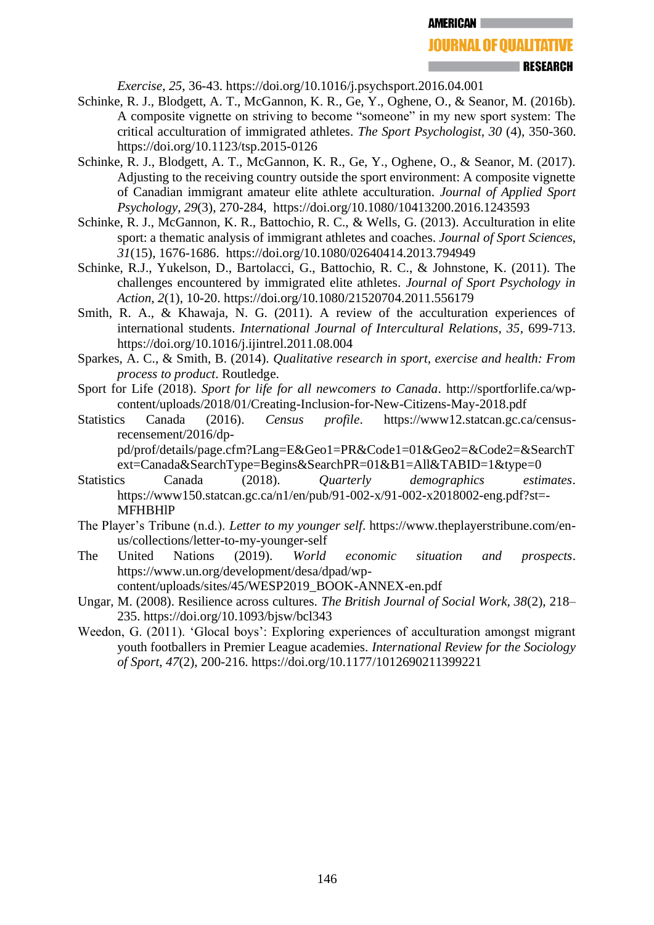**RESEARCH** 

*Exercise*, *25*, 36-43. [https://doi.org/10.1016/j.psychsport.2016.04.001](about:blank)

- Schinke, R. J., Blodgett, A. T., McGannon, K. R., Ge, Y., Oghene, O., & Seanor, M. (2016b). A composite vignette on striving to become "someone" in my new sport system: The critical acculturation of immigrated athletes. *The Sport Psychologist, 30* (4), 350-360. [https://doi.org/10.1123/tsp.2015-0126](about:blank)
- Schinke, R. J., Blodgett, A. T., McGannon, K. R., Ge, Y., Oghene, O., & Seanor, M. (2017). Adjusting to the receiving country outside the sport environment: A composite vignette of Canadian immigrant amateur elite athlete acculturation. *Journal of Applied Sport Psychology*, *29*(3), 270-284, [https://doi.org/10.1080/10413200.2016.1243593](about:blank)
- Schinke, R. J., McGannon, K. R., Battochio, R. C., & Wells, G. (2013). Acculturation in elite sport: a thematic analysis of immigrant athletes and coaches. *Journal of Sport Sciences*, *31*(15), 1676-1686. [https://doi.org/10.1080/02640414.2013.794949](about:blank)
- Schinke, R.J., Yukelson, D., Bartolacci, G., Battochio, R. C., & Johnstone, K. (2011). The challenges encountered by immigrated elite athletes. *Journal of Sport Psychology in Action, 2*(1), 10-20. [https://doi.org/10.1080/21520704.2011.556179](about:blank)
- Smith, R. A., & Khawaja, N. G. (2011). A review of the acculturation experiences of international students. *International Journal of Intercultural Relations, 35*, 699-713. [https://doi.org/10.1016/j.ijintrel.2011.08.004](about:blank)
- Sparkes, A. C., & Smith, B. (2014). *Qualitative research in sport, exercise and health: From process to product*. Routledge.
- Sport for Life (2018). *Sport for life for all newcomers to Canada*. [http://sportforlife.ca/wp](about:blank)[content/uploads/2018/01/Creating-Inclusion-for-New-Citizens-May-2018.pdf](about:blank)
- Statistics Canada (2016). *Census profile*. [https://www12.statcan.gc.ca/census](about:blank)[recensement/2016/dp-](about:blank)

[pd/prof/details/page.cfm?Lang=E&Geo1=PR&Code1=01&Geo2=&Code2=&SearchT](about:blank) [ext=Canada&SearchType=Begins&SearchPR=01&B1=All&TABID=1&type=0](about:blank)

- Statistics Canada (2018). *Quarterly demographics estimates*. [https://www150.statcan.gc.ca/n1/en/pub/91-002-x/91-002-x2018002-eng.pdf?st=-](about:blank) [MFHBHlP](about:blank)
- The Player's Tribune (n.d.). *Letter to my younger self*. [https://www.theplayerstribune.com/en](about:blank)[us/collections/letter-to-my-younger-self](about:blank)
- The United Nations (2019). *World economic situation and prospects*. [https://www.un.org/development/desa/dpad/wp](about:blank)[content/uploads/sites/45/WESP2019\\_BOOK-ANNEX-en.pdf](about:blank)
- Ungar, M. (2008). Resilience across cultures. *The British Journal of Social Work, 38*(2), 218– 235. [https://doi.org/10.1093/bjsw/bcl343](about:blank)
- Weedon, G. (2011). 'Glocal boys': Exploring experiences of acculturation amongst migrant youth footballers in Premier League academies. *International Review for the Sociology of Sport*, *47*(2), 200-216. [https://doi.org/10.1177/1012690211399221](about:blank)